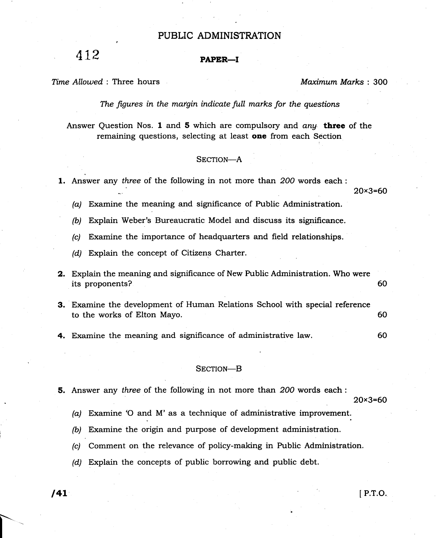# PUBLIC ADMINISTRATION

# $112$  PAPER-I

Time Allowed: Three hours and the material material material materials of Maximum Marks: 300

The figures in the margin indicate full marks for the questions

Answer Question Nos. 1 and 5 which are compulsory and  $an\mu$  three of the remaining questions, selecting at least **one** from each Section

### SECTION-A

1. Answer any three of the following in not more than 200 words each :

20x3=60

(a) Examine the meaning and significance of Public Administration.

(b) Explain Weber's Bureaucratic Model and discuss its significance.

(c) Examine the importance of headquarters and field relationships.

(d) Explain the concept of Citizens Charter.

- 2. Explain the meaning and significance of New Public Administration. Who were its proponents? 60
- 3. Examine the development of Human Relations School with special reference to the works of Elton Mayo. 60
- 4. Examine the meaning and significance of administrative law. 60

#### SECTION-B

5. Answer any three of the following in not more than 2OO words each :

20x3=60

(a) Examine 'O and M' as a technique of administrative improvement.

- (b) Examine the origin and purpose of development administration.
- (c) Comment on the relevance of policy-making in Public Administration.
- (d) Explain the concepts of public borrowing and public debt.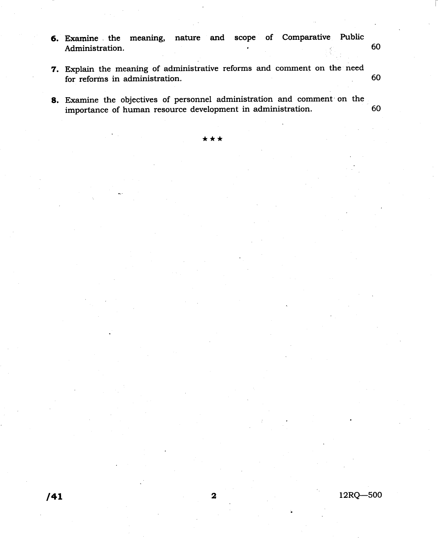- 6. Examine the meaning, nature and scope of Comparative Public Administration. 60
- 7. Explain the meaning of administrative reforms and comment on the need for reforms in administration. 60
- 8. Examine the objectives of personnel administration and comment on the importance of human resource development in administration. 60

\*\*\*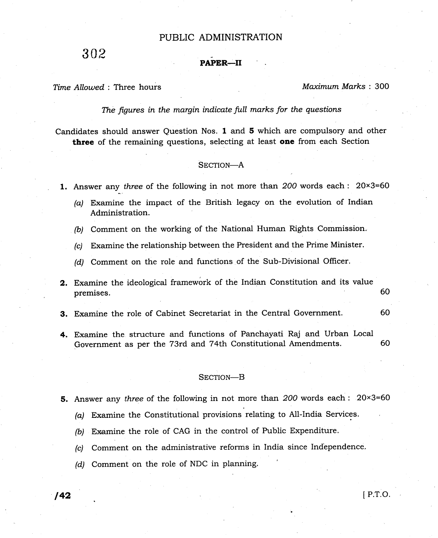# PUBLIC ADMINISTRATION

302

## PAPER-II

Time Allowed : Three hours Maximum Marks : 300

The figures in the margin indicate full marks for the questions

Candidates should answer Question Nos. 1 and 5 which are compulsory and other three of the remaining questions, selecting at least one from each Section

#### SECTION-A

1. Answer any three of the following in not more than  $200$  words each :  $20\times3=60$ 

(a) Examine the impact of the British legacy on the evolution of Indian Administration.

(b) Comment on the working of the National Human Rights Commission.

(c) Examine the relationship between the President and the Prime Minister.

(d) Comment on the role and functions of the Sub-Divisional Officer.

2, Examine the ideological framework of the Indian Constitution and its value premises. 60

- 3. Examine the role of Cabinet Secretariat in the Central Government. <sup>60</sup>
- 4. Examine the structure and functions of Panchayati Raj and Urban Local Government as per the 73rd and 74th Constitutional Amendments. <sup>60</sup>

#### SECTION-B

- 5. Answer any three of the following in not more than 200 words each : 20×3=60
	- (a) Examine the Constitutional provisions relating to All-India Services
	- (b) Examine the role of CAG in the control of Public Expenditure.
	- (c) Comment on the administrative reforms in India since Ind'ependence.
	- (d) Comment on the role of NDC in planning.